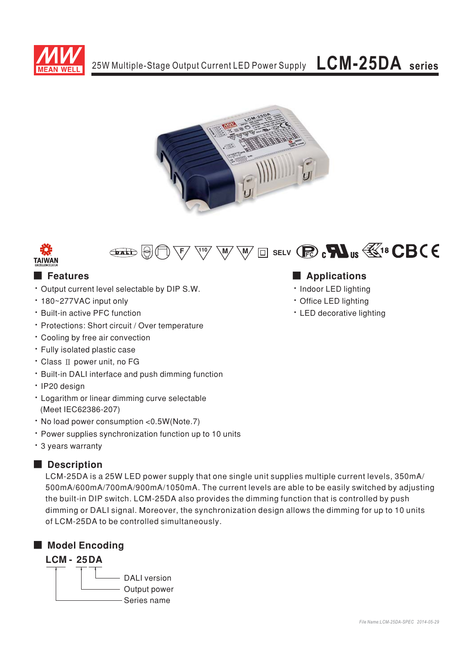







# ■  ■

- Output current level selectable by DIP S.W.
- 180~277VAC input only
- · Built-in active PFC function
- Protections: Short circuit / Over temperature
- Cooling by free air convection
- Fully isolated plastic case
- Class II power unit, no FG
- Built-in DALI interface and push dimming function
- IP20 design
- Logarithm or linear dimming curve selectable (Meet IEC62386-207)
- No load power consumption < 0.5W (Note. 7)
- Power supplies synchronization function up to 10 units

Series name

\* 3 years warranty

# ■ Description

LCM-25DA is a 25W LED power supply that one single unit supplies multiple current levels, 350mA/ 500mA/600mA/700mA/900mA/1050mA. The current levels are able to be easily switched by adjusting the built-in DIP switch. LCM-25DA also provides the dimming function that is controlled by push dimming or DALI signal. Moreover, the synchronization design allows the dimming for up to 10 units of LCM-25DA to be controlled simultaneously.

# ■ **Model Encoding** - Output power DALI version LCM - 25DA

# 

- Indoor LED lighting
- Office LED lighting
- LED decorative lighting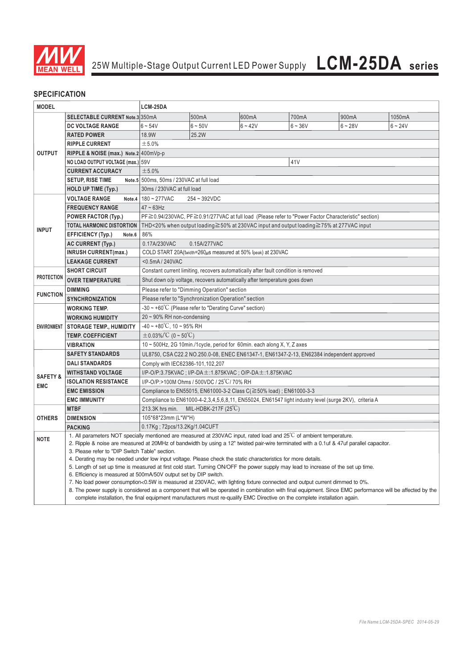

25W Multiple-Stage Output Current LED Power Supply **LCM-25DA series**

## **SPECIFICATION**

| <b>MODEL</b>                     |                                                                                                                                          | LCM-25DA                                                                                                                                                                                                                                           |                                                              |           |           |           |           |  |  |
|----------------------------------|------------------------------------------------------------------------------------------------------------------------------------------|----------------------------------------------------------------------------------------------------------------------------------------------------------------------------------------------------------------------------------------------------|--------------------------------------------------------------|-----------|-----------|-----------|-----------|--|--|
| <b>OUTPUT</b>                    | <b>SELECTABLE CURRENT Note.3 350mA</b>                                                                                                   |                                                                                                                                                                                                                                                    | 500mA                                                        | 600mA     | 700mA     | 900mA     | 1050mA    |  |  |
|                                  | <b>DC VOLTAGE RANGE</b>                                                                                                                  | $6 - 54V$                                                                                                                                                                                                                                          | $6 - 50V$                                                    | $6 - 42V$ | $6 - 36V$ | $6 - 28V$ | $6 - 24V$ |  |  |
|                                  | <b>RATED POWER</b>                                                                                                                       | 18.9W<br>25.2W                                                                                                                                                                                                                                     |                                                              |           |           |           |           |  |  |
|                                  | <b>RIPPLE CURRENT</b>                                                                                                                    | ±5.0%                                                                                                                                                                                                                                              |                                                              |           |           |           |           |  |  |
|                                  | RIPPLE & NOISE (max.) Note.2 400mVp-p                                                                                                    |                                                                                                                                                                                                                                                    |                                                              |           |           |           |           |  |  |
|                                  | NO LOAD OUTPUT VOLTAGE (max.) 59V                                                                                                        | 41V                                                                                                                                                                                                                                                |                                                              |           |           |           |           |  |  |
|                                  | <b>CURRENT ACCURACY</b>                                                                                                                  | ±5.0%                                                                                                                                                                                                                                              |                                                              |           |           |           |           |  |  |
|                                  | <b>SETUP, RISE TIME</b>                                                                                                                  | Note.5 500ms, 50ms / 230VAC at full load                                                                                                                                                                                                           |                                                              |           |           |           |           |  |  |
|                                  | <b>HOLD UP TIME (Typ.)</b>                                                                                                               | 30ms / 230VAC at full load                                                                                                                                                                                                                         |                                                              |           |           |           |           |  |  |
|                                  | <b>VOLTAGE RANGE</b><br>Note.4                                                                                                           | 180~277VAC<br>$254 - 392VDC$                                                                                                                                                                                                                       |                                                              |           |           |           |           |  |  |
| <b>INPUT</b>                     | <b>FREQUENCY RANGE</b>                                                                                                                   | $47 - 63$ Hz                                                                                                                                                                                                                                       |                                                              |           |           |           |           |  |  |
|                                  | <b>POWER FACTOR (Typ.)</b>                                                                                                               | PF≧0.94/230VAC, PF≧0.91/277VAC at full load (Please refer to "Power Factor Characteristic" section)                                                                                                                                                |                                                              |           |           |           |           |  |  |
|                                  | <b>TOTAL HARMONIC DISTORTION</b>                                                                                                         | THD<20% when output loading $\geq$ 50% at 230VAC input and output loading $\geq$ 75% at 277VAC input                                                                                                                                               |                                                              |           |           |           |           |  |  |
|                                  | <b>EFFICIENCY (Typ.)</b><br>Note.6                                                                                                       | 86%                                                                                                                                                                                                                                                |                                                              |           |           |           |           |  |  |
|                                  | <b>AC CURRENT (Typ.)</b>                                                                                                                 | 0.17A/230VAC                                                                                                                                                                                                                                       | 0.15A/277VAC                                                 |           |           |           |           |  |  |
|                                  | <b>INRUSH CURRENT(max.)</b>                                                                                                              |                                                                                                                                                                                                                                                    | COLD START 20A(twidth=260µs measured at 50% Ipeak) at 230VAC |           |           |           |           |  |  |
|                                  | <b>LEAKAGE CURRENT</b>                                                                                                                   | <0.5mA/240VAC                                                                                                                                                                                                                                      |                                                              |           |           |           |           |  |  |
|                                  | <b>SHORT CIRCUIT</b>                                                                                                                     | Constant current limiting, recovers automatically after fault condition is removed                                                                                                                                                                 |                                                              |           |           |           |           |  |  |
| <b>PROTECTION</b>                | <b>OVER TEMPERATURE</b>                                                                                                                  | Shut down o/p voltage, recovers automatically after temperature goes down                                                                                                                                                                          |                                                              |           |           |           |           |  |  |
|                                  | <b>DIMMING</b>                                                                                                                           | Please refer to "Dimming Operation" section                                                                                                                                                                                                        |                                                              |           |           |           |           |  |  |
| <b>FUNCTION</b>                  | <b>SYNCHRONIZATION</b>                                                                                                                   | Please refer to "Synchronization Operation" section                                                                                                                                                                                                |                                                              |           |           |           |           |  |  |
| <b>ENVIRONMENT</b>               | <b>WORKING TEMP.</b>                                                                                                                     | -30 $\sim$ +60 $\rm ^{o}C$ (Please refer to "Derating Curve" section)                                                                                                                                                                              |                                                              |           |           |           |           |  |  |
|                                  | <b>WORKING HUMIDITY</b>                                                                                                                  | $20 \sim 90\%$ RH non-condensing                                                                                                                                                                                                                   |                                                              |           |           |           |           |  |  |
|                                  | <b>STORAGE TEMP., HUMIDITY</b>                                                                                                           | $-40 \sim +80^{\circ}$ C, 10 ~ 95% RH                                                                                                                                                                                                              |                                                              |           |           |           |           |  |  |
|                                  | <b>TEMP. COEFFICIENT</b>                                                                                                                 | $\pm$ 0.03%/°C (0 ~ 50°C)                                                                                                                                                                                                                          |                                                              |           |           |           |           |  |  |
|                                  | <b>VIBRATION</b>                                                                                                                         | 10 ~ 500Hz, 2G 10min./1cycle, period for 60min. each along X, Y, Z axes                                                                                                                                                                            |                                                              |           |           |           |           |  |  |
|                                  | <b>SAFETY STANDARDS</b>                                                                                                                  | UL8750, CSA C22.2 NO.250.0-08, ENEC EN61347-1, EN61347-2-13, EN62384 independent approved                                                                                                                                                          |                                                              |           |           |           |           |  |  |
| <b>SAFETY&amp;</b><br><b>EMC</b> | <b>DALI STANDARDS</b>                                                                                                                    | Comply with IEC62386-101,102,207                                                                                                                                                                                                                   |                                                              |           |           |           |           |  |  |
|                                  | <b>WITHSTAND VOLTAGE</b>                                                                                                                 | I/P-O/P:3.75KVAC; I/P-DA±:1.875KVAC; O/P-DA±:1.875KVAC                                                                                                                                                                                             |                                                              |           |           |           |           |  |  |
|                                  | <b>ISOLATION RESISTANCE</b>                                                                                                              | I/P-O/P:>100M Ohms / 500VDC / 25°C/70% RH                                                                                                                                                                                                          |                                                              |           |           |           |           |  |  |
|                                  | <b>EMC EMISSION</b>                                                                                                                      | Compliance to EN55015, EN61000-3-2 Class C(≧50% load) ; EN61000-3-3                                                                                                                                                                                |                                                              |           |           |           |           |  |  |
|                                  | <b>EMC IMMUNITY</b>                                                                                                                      | Compliance to EN61000-4-2,3,4,5,6,8,11, EN55024, EN61547 light industry level (surge 2KV), criteria A                                                                                                                                              |                                                              |           |           |           |           |  |  |
|                                  | <b>MTBF</b>                                                                                                                              | MIL-HDBK-217F $(25^{\circ}C)$<br>213.3K hrs min.                                                                                                                                                                                                   |                                                              |           |           |           |           |  |  |
| <b>OTHERS</b>                    | <b>DIMENSION</b>                                                                                                                         | 105*68*23mm (L*W*H)                                                                                                                                                                                                                                |                                                              |           |           |           |           |  |  |
|                                  | <b>PACKING</b>                                                                                                                           | 0.17Kg; 72pcs/13.2Kg/1.04CUFT                                                                                                                                                                                                                      |                                                              |           |           |           |           |  |  |
| <b>NOTE</b>                      | 1. All parameters NOT specially mentioned are measured at 230VAC input, rated load and 25°C of ambient temperature.                      |                                                                                                                                                                                                                                                    |                                                              |           |           |           |           |  |  |
|                                  | 2. Ripple & noise are measured at 20MHz of bandwidth by using a 12" twisted pair-wire terminated with a 0.1uf & 47uf parallel capacitor. |                                                                                                                                                                                                                                                    |                                                              |           |           |           |           |  |  |
|                                  | 3. Please refer to "DIP Switch Table" section.                                                                                           |                                                                                                                                                                                                                                                    |                                                              |           |           |           |           |  |  |
|                                  |                                                                                                                                          | 4. Derating may be needed under low input voltage. Please check the static characteristics for more details.<br>5. Length of set up time is measured at first cold start. Turning ON/OFF the power supply may lead to increase of the set up time. |                                                              |           |           |           |           |  |  |
|                                  |                                                                                                                                          | 6. Efficiency is measured at 500mA/50V output set by DIP switch.                                                                                                                                                                                   |                                                              |           |           |           |           |  |  |
|                                  |                                                                                                                                          | 7. No load power consumption<0.5W is measured at 230VAC, with lighting fixture connected and output current dimmed to 0%.                                                                                                                          |                                                              |           |           |           |           |  |  |
|                                  |                                                                                                                                          | 8. The power supply is considered as a component that will be operated in combination with final equipment. Since EMC performance will be affected by the                                                                                          |                                                              |           |           |           |           |  |  |
|                                  |                                                                                                                                          | complete installation, the final equipment manufacturers must re-qualify EMC Directive on the complete installation again.                                                                                                                         |                                                              |           |           |           |           |  |  |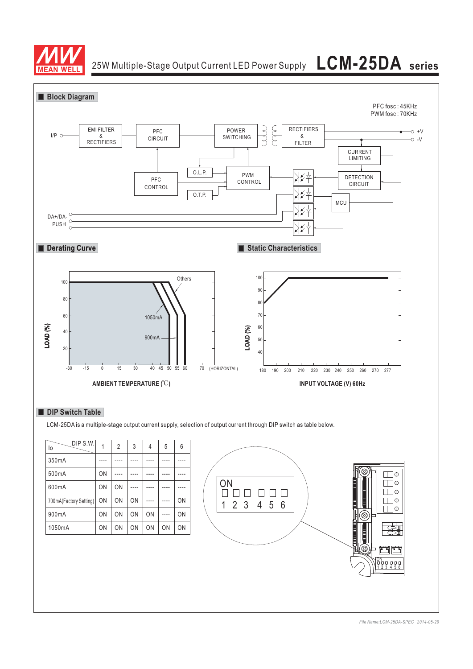



LCM-25DA is a multiple-stage output current supply, selection of output current through DIP switch as table below.

| DIP S.W.<br>lo         | 1  | $\overline{2}$ | 3  | 4  | 5   | 6  |
|------------------------|----|----------------|----|----|-----|----|
| 350mA                  |    |                |    |    |     |    |
| 500mA                  | ON |                |    |    |     |    |
| 600mA                  | ON | ON             |    |    |     |    |
| 700mA(Factory Setting) | ON | ON             | ON |    |     | ON |
| 900mA                  | ON | ON             | ON | ON | --- | ON |
| 1050mA                 | ON | ON             | ON | ON | ON  | ON |

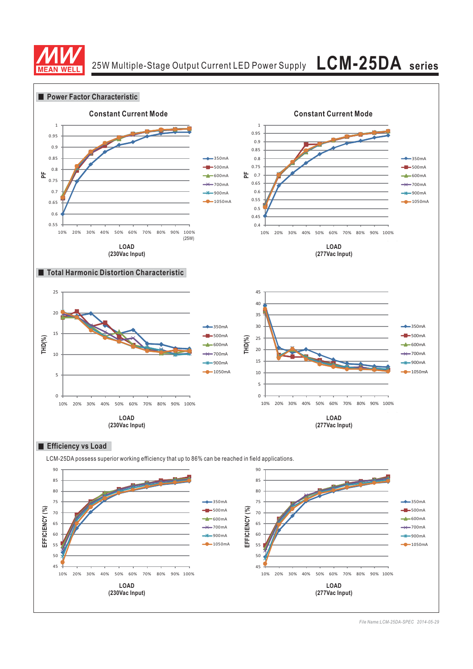



*File Name:LCM-25DA-SPEC 2014-05-29*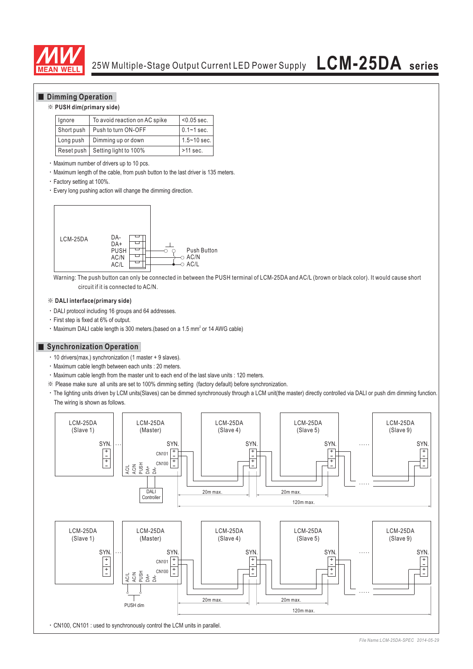

### **Dimming Operation**

#### ※ **PUSH dim(primary side)**

| lgnore     | To avoid reaction on AC spike      | $< 0.05$ sec.   |  |
|------------|------------------------------------|-----------------|--|
| Short push | Push to turn ON-OFF                | $0.1 - 1$ sec.  |  |
| Long push  | Dimming up or down                 | $1.5 - 10$ sec. |  |
|            | Reset push   Setting light to 100% | >11 sec.        |  |

Maximum number of drivers up to 10 pcs.

Maximum length of the cable, from push button to the last driver is 135 meters.

Factory setting at 100%.

Every long pushing action will change the dimming direction.



Warning: The push button can only be connected in between the PUSH terminal of LCM-25DA and AC/L (brown or black color). It would cause short circuit if it is connected to AC/N.

#### ※ **DALI interface(primary side)**

DALI protocol including 16 groups and 64 addresses.

- First step is fixed at 6% of output.
- $\cdot$  Maximum DALI cable length is 300 meters.(based on a 1.5 mm<sup>2</sup> or 14 AWG cable)

### **Synchronization Operation**

- 10 drivers(max.) synchronization (1 master + 9 slaves).
- Maximum cable length between each units : 20 meters.
- Maximum cable length from the master unit to each end of the last slave units : 120 meters.
- ※ Please make sure all units are set to 100% dimming setting (factory default) before synchronization.
- The lighting units driven by LCM units(Slaves) can be dimmed synchronously through a LCM unit(the master) directly controlled via DALI or push dim dimming function. The wiring is shown as follows.